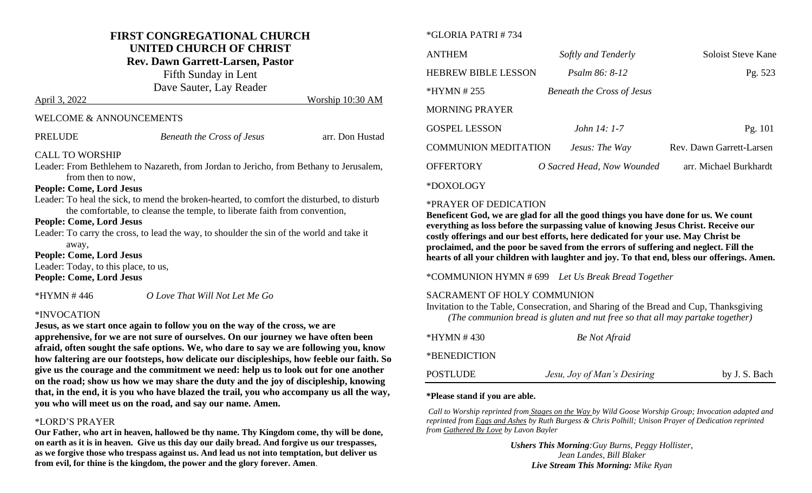## **FIRST CONGREGATIONAL CHURCH UNITED CHURCH OF CHRIST**

**Rev. Dawn Garrett-Larsen, Pastor**

Fifth Sunday in Lent Dave Sauter, Lay Reader

April 3, 2022 Worship 10:30 AM

#### WELCOME & ANNOUNCEMENTS

| <b>PRELUDE</b>                       | <b>Beneath the Cross of Jesus</b>                                                          | arr. Don Hustad |
|--------------------------------------|--------------------------------------------------------------------------------------------|-----------------|
| <b>CALL TO WORSHIP</b>               |                                                                                            |                 |
|                                      | Leader: From Bethlehem to Nazareth, from Jordan to Jericho, from Bethany to Jerusalem,     |                 |
| from then to now,                    |                                                                                            |                 |
| <b>People: Come, Lord Jesus</b>      |                                                                                            |                 |
|                                      | Leader: To heal the sick, to mend the broken-hearted, to comfort the disturbed, to disturb |                 |
|                                      | the comfortable, to cleanse the temple, to liberate faith from convention,                 |                 |
| <b>People: Come, Lord Jesus</b>      |                                                                                            |                 |
|                                      | Leader: To carry the cross, to lead the way, to shoulder the sin of the world and take it  |                 |
| away,                                |                                                                                            |                 |
| <b>People: Come, Lord Jesus</b>      |                                                                                            |                 |
| Leader: Today, to this place, to us, |                                                                                            |                 |
| <b>People: Come, Lord Jesus</b>      |                                                                                            |                 |
| *HYMN #446                           | O Love That Will Not Let Me Go                                                             |                 |

#### \*INVOCATION

**Jesus, as we start once again to follow you on the way of the cross, we are apprehensive, for we are not sure of ourselves. On our journey we have often been afraid, often sought the safe options. We, who dare to say we are following you, know how faltering are our footsteps, how delicate our discipleships, how feeble our faith. So give us the courage and the commitment we need: help us to look out for one another on the road; show us how we may share the duty and the joy of discipleship, knowing that, in the end, it is you who have blazed the trail, you who accompany us all the way, you who will meet us on the road, and say our name. Amen.**

#### \*LORD'S PRAYER

**Our Father, who art in heaven, hallowed be thy name. Thy Kingdom come, thy will be done, on earth as it is in heaven. Give us this day our daily bread. And forgive us our trespasses, as we forgive those who trespass against us. And lead us not into temptation, but deliver us from evil, for thine is the kingdom, the power and the glory forever. Amen**.

#### \*GLORIA PATRI # 734

| <b>ANTHEM</b>              | Softly and Tenderly               | Soloist Steve Kane       |
|----------------------------|-----------------------------------|--------------------------|
| <b>HEBREW BIBLE LESSON</b> | <i>Psalm 86: 8-12</i>             | Pg. 523                  |
| *HYMN # 255                | <b>Beneath the Cross of Jesus</b> |                          |
| <b>MORNING PRAYER</b>      |                                   |                          |
| <b>GOSPEL LESSON</b>       | <i>John <math>14: 1-7</math></i>  | Pg. 101                  |
| COMMUNION MEDITATION       | Jesus: The Way                    | Rev. Dawn Garrett-Larsen |
| <b>OFFERTORY</b>           | O Sacred Head, Now Wounded        | arr. Michael Burkhardt   |
|                            |                                   |                          |

#### \*DOXOLOGY

#### \*PRAYER OF DEDICATION

**Beneficent God, we are glad for all the good things you have done for us. We count everything as loss before the surpassing value of knowing Jesus Christ. Receive our costly offerings and our best efforts, here dedicated for your use. May Christ be proclaimed, and the poor be saved from the errors of suffering and neglect. Fill the hearts of all your children with laughter and joy. To that end, bless our offerings. Amen.** 

#### \*COMMUNION HYMN # 699 *Let Us Break Bread Together*

#### SACRAMENT OF HOLY COMMUNION

Invitation to the Table, Consecration, and Sharing of the Bread and Cup, Thanksgiving *(The communion bread is gluten and nut free so that all may partake together)*

| *HYMN #430   | <b>Be</b> Not Afraid        |               |
|--------------|-----------------------------|---------------|
| *BENEDICTION |                             |               |
| POSTLUDE     | Jesu, Joy of Man's Desiring | by J. S. Bach |

#### **\*Please stand if you are able.**

*Call to Worship reprinted from Stages on the Way by Wild Goose Worship Group; Invocation adapted and reprinted from Eggs and Ashes by Ruth Burgess & Chris Polhill; Unison Prayer of Dedication reprinted from Gathered By Love by Lavon Bayler*

> *Ushers This Morning:Guy Burns, Peggy Hollister, Jean Landes, Bill Blaker Live Stream This Morning: Mike Ryan*